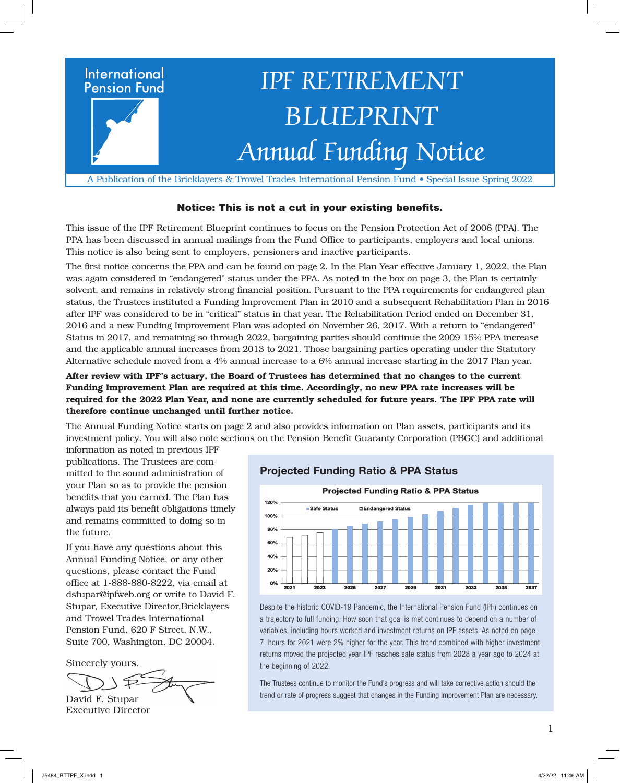

A Publication of the Bricklayers & Trowel Trades International Pension Fund • Special Issue Spring 2022

### Notice: This is not a cut in your existing benefits.

This issue of the IPF Retirement Blueprint continues to focus on the Pension Protection Act of 2006 (PPA). The PPA has been discussed in annual mailings from the Fund Office to participants, employers and local unions. This notice is also being sent to employers, pensioners and inactive participants.

The first notice concerns the PPA and can be found on page 2. In the Plan Year effective January 1, 2022, the Plan was again considered in "endangered" status under the PPA. As noted in the box on page 3, the Plan is certainly solvent, and remains in relatively strong financial position. Pursuant to the PPA requirements for endangered plan status, the Trustees instituted a Funding Improvement Plan in 2010 and a subsequent Rehabilitation Plan in 2016 after IPF was considered to be in "critical" status in that year. The Rehabilitation Period ended on December 31, 2016 and a new Funding Improvement Plan was adopted on November 26, 2017. With a return to "endangered" Status in 2017, and remaining so through 2022, bargaining parties should continue the 2009 15% PPA increase and the applicable annual increases from 2013 to 2021. Those bargaining parties operating under the Statutory Alternative schedule moved from a 4% annual increase to a 6% annual increase starting in the 2017 Plan year.

After review with IPF's actuary, the Board of Trustees has determined that no changes to the current Funding Improvement Plan are required at this time. Accordingly, no new PPA rate increases will be required for the 2022 Plan Year, and none are currently scheduled for future years. The IPF PPA rate will therefore continue unchanged until further notice.

The Annual Funding Notice starts on page 2 and also provides information on Plan assets, participants and its investment policy. You will also note sections on the Pension Benefit Guaranty Corporation (PBGC) and additional

information as noted in previous IPF publications. The Trustees are committed to the sound administration of your Plan so as to provide the pension benefits that you earned. The Plan has always paid its benefit obligations timely and remains committed to doing so in the future.

If you have any questions about this Annual Funding Notice, or any other questions, please contact the Fund office at 1-888-880-8222, via email at dstupar@ipfweb.org or write to David F. Stupar, Executive Director,Bricklayers and Trowel Trades International Pension Fund, 620 F Street, N.W., Suite 700, Washington, DC 20004.

Sincerely yours,

David F. Stupar

Executive Director

### Projected Funding Ratio & PPA Status



Despite the historic COVID-19 Pandemic, the International Pension Fund (IPF) continues on a trajectory to full funding. How soon that goal is met continues to depend on a number of variables, including hours worked and investment returns on IPF assets. As noted on page 7, hours for 2021 were 2% higher for the year. This trend combined with higher investment returns moved the projected year IPF reaches safe status from 2028 a year ago to 2024 at the beginning of 2022.

The Trustees continue to monitor the Fund's progress and will take corrective action should the trend or rate of progress suggest that changes in the Funding Improvement Plan are necessary.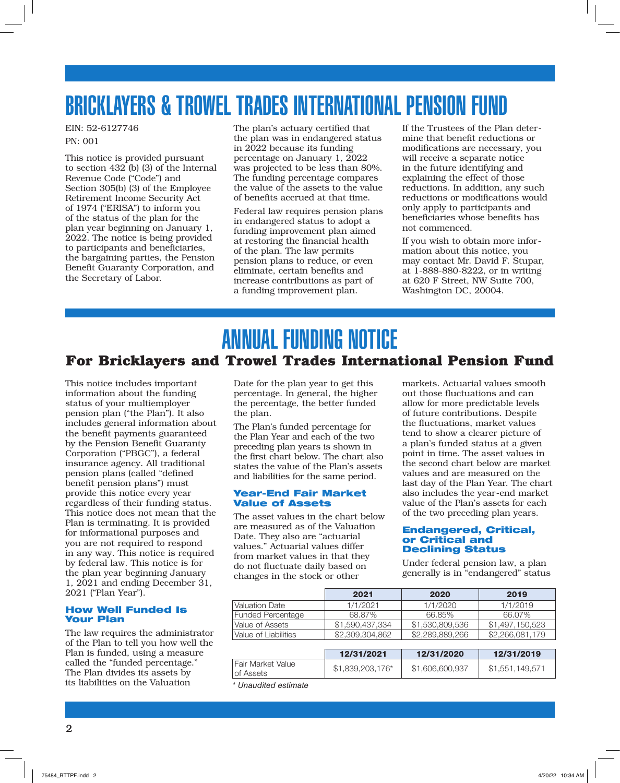### BRICKLAYERS & TROWEL TRADES INTERNATIONAL PENSION FUND

EIN: 52-6127746 PN: 001

This notice is provided pursuant to section 432 (b) (3) of the Internal Revenue Code ("Code") and Section 305(b) (3) of the Employee Retirement Income Security Act of 1974 ("ERISA") to inform you of the status of the plan for the plan year beginning on January 1, 2022. The notice is being provided to participants and beneficiaries, the bargaining parties, the Pension Benefit Guaranty Corporation, and the Secretary of Labor.

The plan's actuary certified that the plan was in endangered status in 2022 because its funding percentage on January 1, 2022 was projected to be less than 80%. The funding percentage compares the value of the assets to the value of benefits accrued at that time.

Federal law requires pension plans in endangered status to adopt a funding improvement plan aimed at restoring the financial health of the plan. The law permits pension plans to reduce, or even eliminate, certain benefits and increase contributions as part of a funding improvement plan.

If the Trustees of the Plan determine that benefit reductions or modifications are necessary, you will receive a separate notice in the future identifying and explaining the effect of those reductions. In addition, any such reductions or modifications would only apply to participants and beneficiaries whose benefits has not commenced.

If you wish to obtain more information about this notice, you may contact Mr. David F. Stupar, at 1-888-880-8222, or in writing at 620 F Street, NW Suite 700, Washington DC, 20004.

### ANNUAL FUNDING NOTICE **For Bricklayers and Trowel Trades International Pension Fund**

This notice includes important information about the funding status of your multiemployer pension plan ("the Plan"). It also includes general information about the benefit payments guaranteed by the Pension Benefit Guaranty Corporation ("PBGC"), a federal insurance agency. All traditional pension plans (called "defined benefit pension plans") must provide this notice every year regardless of their funding status. This notice does not mean that the Plan is terminating. It is provided for informational purposes and you are not required to respond in any way. This notice is required by federal law. This notice is for the plan year beginning January 1, 2021 and ending December 31, 2021 ("Plan Year").

### How Well Funded Is Your Plan

The law requires the administrator of the Plan to tell you how well the Plan is funded, using a measure called the "funded percentage." The Plan divides its assets by its liabilities on the Valuation

Date for the plan year to get this percentage. In general, the higher the percentage, the better funded the plan.

The Plan's funded percentage for the Plan Year and each of the two preceding plan years is shown in the first chart below. The chart also states the value of the Plan's assets and liabilities for the same period.

### Year-End Fair Market Value of Assets

The asset values in the chart below are measured as of the Valuation Date. They also are "actuarial values." Actuarial values differ from market values in that they do not fluctuate daily based on changes in the stock or other

markets. Actuarial values smooth out those fluctuations and can allow for more predictable levels of future contributions. Despite the fluctuations, market values tend to show a clearer picture of a plan's funded status at a given point in time. The asset values in the second chart below are market values and are measured on the last day of the Plan Year. The chart also includes the year-end market value of the Plan's assets for each of the two preceding plan years.

### Endangered, Critical, or Critical and Declining Status

Under federal pension law, a plan generally is in "endangered" status

|                      | 2021            | 2020            | 2019            |
|----------------------|-----------------|-----------------|-----------------|
| Valuation Date       | 1/1/2021        | 1/1/2020        | 1/1/2019        |
| Funded Percentage    | 68.87%          | 66.85%          | 66.07%          |
| Value of Assets      | \$1,590,437,334 | \$1,530,809,536 | \$1,497,150,523 |
| Value of Liabilities | \$2,309,304,862 | \$2,289,889,266 | \$2,266,081,179 |

|                                | 12/31/2021       | 12/31/2020      | 12/31/2019      |
|--------------------------------|------------------|-----------------|-----------------|
| Fair Market Value<br>of Assets | \$1,839,203,176* | \$1,606,600,937 | \$1,551,149,571 |
|                                |                  |                 |                 |

*\* Unaudited estimate*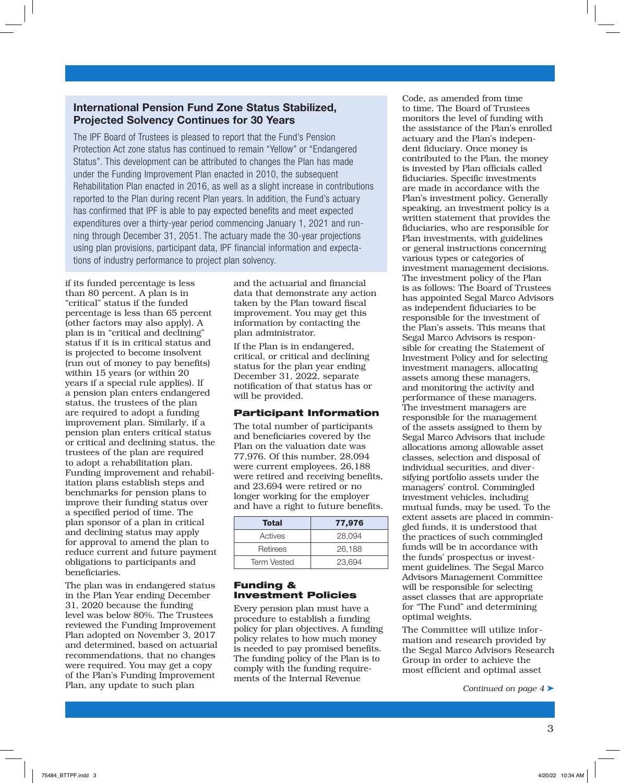### International Pension Fund Zone Status Stabilized, Projected Solvency Continues for 30 Years

The IPF Board of Trustees is pleased to report that the Fund's Pension Protection Act zone status has continued to remain "Yellow" or "Endangered Status". This development can be attributed to changes the Plan has made under the Funding Improvement Plan enacted in 2010, the subsequent Rehabilitation Plan enacted in 2016, as well as a slight increase in contributions reported to the Plan during recent Plan years. In addition, the Fund's actuary has confirmed that IPF is able to pay expected benefits and meet expected expenditures over a thirty-year period commencing January 1, 2021 and running through December 31, 2051. The actuary made the 30-year projections using plan provisions, participant data, IPF financial information and expectations of industry performance to project plan solvency.

if its funded percentage is less than 80 percent. A plan is in "critical" status if the funded percentage is less than 65 percent (other factors may also apply). A plan is in "critical and declining" status if it is in critical status and is projected to become insolvent (run out of money to pay benefits) within 15 years (or within 20 years if a special rule applies). If a pension plan enters endangered status, the trustees of the plan are required to adopt a funding improvement plan. Similarly, if a pension plan enters critical status or critical and declining status, the trustees of the plan are required to adopt a rehabilitation plan. Funding improvement and rehabilitation plans establish steps and benchmarks for pension plans to improve their funding status over a specified period of time. The plan sponsor of a plan in critical and declining status may apply for approval to amend the plan to reduce current and future payment obligations to participants and beneficiaries.

The plan was in endangered status in the Plan Year ending December 31, 2020 because the funding level was below 80%. The Trustees reviewed the Funding Improvement Plan adopted on November 3, 2017 and determined, based on actuarial recommendations, that no changes were required. You may get a copy of the Plan's Funding Improvement Plan, any update to such plan

and the actuarial and financial data that demonstrate any action taken by the Plan toward fiscal improvement. You may get this information by contacting the plan administrator.

If the Plan is in endangered, critical, or critical and declining status for the plan year ending December 31, 2022, separate notification of that status has or will be provided.

### Participant Information

The total number of participants and beneficiaries covered by the Plan on the valuation date was 77,976. Of this number, 28,094 were current employees, 26,188 were retired and receiving benefits, and 23,694 were retired or no longer working for the employer and have a right to future benefits.

| <b>Total</b>       | 77,976 |
|--------------------|--------|
| Actives            | 28,094 |
| Retirees           | 26,188 |
| <b>Term Vested</b> | 23.694 |

### Funding & Investment Policies

Every pension plan must have a procedure to establish a funding policy for plan objectives. A funding policy relates to how much money is needed to pay promised benefits. The funding policy of the Plan is to comply with the funding requirements of the Internal Revenue

Code, as amended from time to time. The Board of Trustees monitors the level of funding with the assistance of the Plan's enrolled actuary and the Plan's independent fiduciary. Once money is contributed to the Plan, the money is invested by Plan officials called fiduciaries. Specific investments are made in accordance with the Plan's investment policy. Generally speaking, an investment policy is a written statement that provides the fiduciaries, who are responsible for Plan investments, with guidelines or general instructions concerning various types or categories of investment management decisions. The investment policy of the Plan is as follows: The Board of Trustees has appointed Segal Marco Advisors as independent fiduciaries to be responsible for the investment of the Plan's assets. This means that Segal Marco Advisors is responsible for creating the Statement of Investment Policy and for selecting investment managers, allocating assets among these managers, and monitoring the activity and performance of these managers. The investment managers are responsible for the management of the assets assigned to them by Segal Marco Advisors that include allocations among allowable asset classes, selection and disposal of individual securities, and diversifying portfolio assets under the managers' control. Commingled investment vehicles, including mutual funds, may be used. To the extent assets are placed in commingled funds, it is understood that the practices of such commingled funds will be in accordance with the funds' prospectus or investment guidelines. The Segal Marco Advisors Management Committee will be responsible for selecting asset classes that are appropriate for "The Fund" and determining optimal weights.

The Committee will utilize information and research provided by the Segal Marco Advisors Research Group in order to achieve the most efficient and optimal asset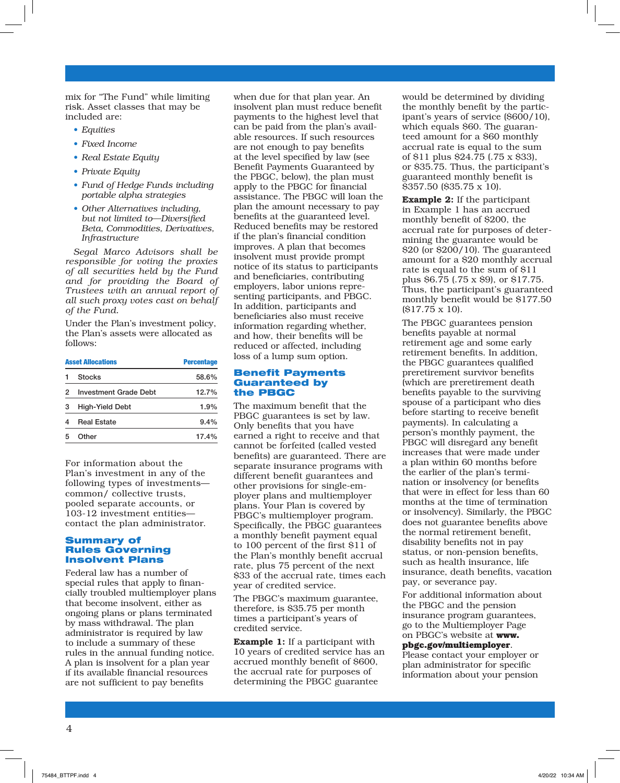mix for "The Fund" while limiting risk. Asset classes that may be included are:

- *Equities*
- *Fixed Income*
- *Real Estate Equity*
- *Private Equity*
- *Fund of Hedge Funds including portable alpha strategies*
- *Other Alternatives including, but not limited to—Diversified Beta, Commodities, Derivatives, Infrastructure*

*Segal Marco Advisors shall be responsible for voting the proxies of all securities held by the Fund and for providing the Board of Trustees with an annual report of all such proxy votes cast on behalf of the Fund.*

Under the Plan's investment policy, the Plan's assets were allocated as follows:

| <b>Asset Allocations</b> |                        | <b>Percentage</b> |
|--------------------------|------------------------|-------------------|
|                          | <b>Stocks</b>          | 58.6%             |
| 2                        | Investment Grade Debt  | 12.7%             |
| 3                        | <b>High-Yield Debt</b> | 1.9%              |
| 4                        | <b>Real Estate</b>     | $9.4\%$           |
|                          | Other                  | 17.4%             |

For information about the Plan's investment in any of the following types of investments common/ collective trusts, pooled separate accounts, or 103-12 investment entities contact the plan administrator.

### Summary of Rules Governing Insolvent Plans

Federal law has a number of special rules that apply to financially troubled multiemployer plans that become insolvent, either as ongoing plans or plans terminated by mass withdrawal. The plan administrator is required by law to include a summary of these rules in the annual funding notice. A plan is insolvent for a plan year if its available financial resources are not sufficient to pay benefits

when due for that plan year. An insolvent plan must reduce benefit payments to the highest level that can be paid from the plan's available resources. If such resources are not enough to pay benefits at the level specified by law (see Benefit Payments Guaranteed by the PBGC, below), the plan must apply to the PBGC for financial assistance. The PBGC will loan the plan the amount necessary to pay benefits at the guaranteed level. Reduced benefits may be restored if the plan's financial condition improves. A plan that becomes insolvent must provide prompt notice of its status to participants and beneficiaries, contributing employers, labor unions representing participants, and PBGC. In addition, participants and beneficiaries also must receive information regarding whether, and how, their benefits will be reduced or affected, including loss of a lump sum option.

#### Benefit Payments Guaranteed by the PBGC

The maximum benefit that the PBGC guarantees is set by law. Only benefits that you have earned a right to receive and that cannot be forfeited (called vested benefits) are guaranteed. There are separate insurance programs with different benefit guarantees and other provisions for single-employer plans and multiemployer plans. Your Plan is covered by PBGC's multiemployer program. Specifically, the PBGC guarantees a monthly benefit payment equal to 100 percent of the first \$11 of the Plan's monthly benefit accrual rate, plus 75 percent of the next \$33 of the accrual rate, times each year of credited service.

The PBGC's maximum guarantee, therefore, is \$35.75 per month times a participant's years of credited service.

**Example 1:** If a participant with 10 years of credited service has an accrued monthly benefit of \$600, the accrual rate for purposes of determining the PBGC guarantee

would be determined by dividing the monthly benefit by the participant's years of service (\$600/10), which equals \$60. The guaranteed amount for a \$60 monthly accrual rate is equal to the sum of \$11 plus \$24.75 (.75 x \$33), or \$35.75. Thus, the participant's guaranteed monthly benefit is \$357.50 (\$35.75 x 10).

**Example 2:** If the participant in Example 1 has an accrued monthly benefit of \$200, the accrual rate for purposes of determining the guarantee would be \$20 (or \$200/10). The guaranteed amount for a \$20 monthly accrual rate is equal to the sum of \$11 plus \$6.75 (.75 x \$9), or \$17.75. Thus, the participant's guaranteed monthly benefit would be \$177.50 (\$17.75 x 10).

The PBGC guarantees pension benefits payable at normal retirement age and some early retirement benefits. In addition, the PBGC guarantees qualified preretirement survivor benefits (which are preretirement death benefits payable to the surviving spouse of a participant who dies before starting to receive benefit payments). In calculating a person's monthly payment, the PBGC will disregard any benefit increases that were made under a plan within 60 months before the earlier of the plan's termination or insolvency (or benefits that were in effect for less than 60 months at the time of termination or insolvency). Similarly, the PBGC does not guarantee benefits above the normal retirement benefit, disability benefits not in pay status, or non-pension benefits, such as health insurance, life insurance, death benefits, vacation pay, or severance pay.

For additional information about the PBGC and the pension insurance program guarantees, go to the Multiemployer Page on PBGC's website at **www. pbgc.gov/multiemployer**.

Please contact your employer or plan administrator for specific information about your pension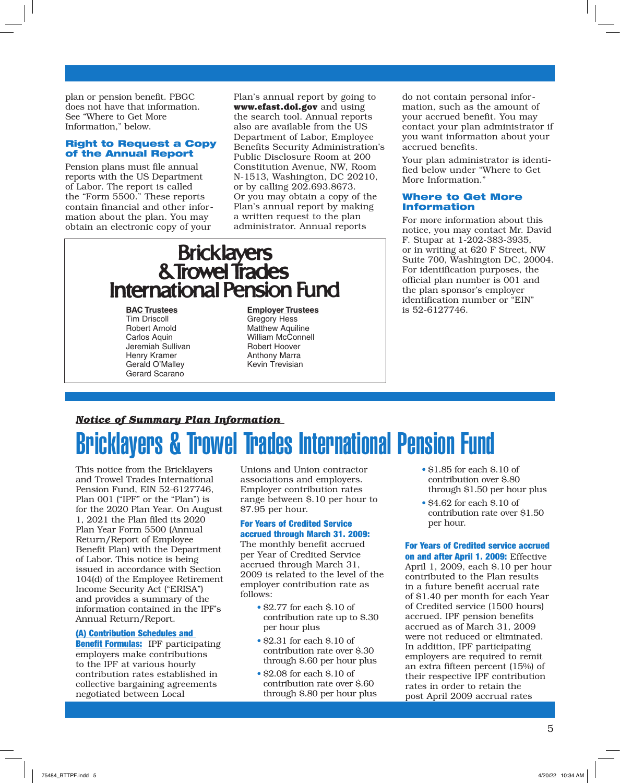plan or pension benefit. PBGC does not have that information. See "Where to Get More Information," below.

### Right to Request a Copy of the Annual Report

Pension plans must file annual reports with the US Department of Labor. The report is called the "Form 5500." These reports contain financial and other information about the plan. You may obtain an electronic copy of your

Plan's annual report by going to **www.efast.dol.gov** and using the search tool. Annual reports also are available from the US Department of Labor, Employee Benefits Security Administration's Public Disclosure Room at 200 Constitution Avenue, NW, Room N-1513, Washington, DC 20210, or by calling 202.693.8673. Or you may obtain a copy of the Plan's annual report by making a written request to the plan administrator. Annual reports

# Bricklayers<br>**& Trowel Trades<br>International Pension Fund**

**BAC Trustees** Tim Driscoll Robert Arnold Carlos Aquin Jeremiah Sullivan Henry Kramer Gerald O'Malley Gerard Scarano

### **Employer Trustees**

Gregory Hess Matthew Aquiline William McConnell Robert Hoover Anthony Marra Kevin Trevisian

do not contain personal information, such as the amount of your accrued benefit. You may contact your plan administrator if you want information about your accrued benefits.

Your plan administrator is identified below under "Where to Get More Information."

### Where to Get More Information

For more information about this notice, you may contact Mr. David F. Stupar at 1-202-383-3935, or in writing at 620 F Street, NW Suite 700, Washington DC, 20004. For identification purposes, the official plan number is 001 and the plan sponsor's employer identification number or "EIN" is 52-6127746.

### *Notice of Summary Plan Information*

# Bricklayers & Trowel Trades International Pension Fund

This notice from the Bricklayers and Trowel Trades International Pension Fund, EIN 52-6127746, Plan 001 ("IPF" or the "Plan") is for the 2020 Plan Year. On August 1, 2021 the Plan filed its 2020 Plan Year Form 5500 (Annual Return/Report of Employee Benefit Plan) with the Department of Labor. This notice is being issued in accordance with Section 104(d) of the Employee Retirement Income Security Act ("ERISA") and provides a summary of the information contained in the IPF's Annual Return/Report.

### (A) Contribution Schedules and

**Benefit Formulas:** IPF participating employers make contributions to the IPF at various hourly contribution rates established in collective bargaining agreements negotiated between Local

Unions and Union contractor associations and employers. Employer contribution rates range between \$.10 per hour to \$7.95 per hour.

### For Years of Credited Service accrued through March 31. 2009:

The monthly benefit accrued per Year of Credited Service accrued through March 31, 2009 is related to the level of the employer contribution rate as follows:

- \$2.77 for each \$.10 of contribution rate up to \$.30 per hour plus
- \$2.31 for each \$.10 of contribution rate over \$.30 through \$.60 per hour plus
- \$2.08 for each \$.10 of contribution rate over \$.60 through \$.80 per hour plus
- *•* \$1.85 for each \$.10 of contribution over \$.80 through \$1.50 per hour plus
- \$4.62 for each \$.10 of contribution rate over \$1.50 per hour.

For Years of Credited service accrued on and after April 1. 2009: Effective April 1, 2009, each \$.10 per hour contributed to the Plan results in a future benefit accrual rate of \$1.40 per month for each Year of Credited service (1500 hours) accrued. IPF pension benefits accrued as of March 31, 2009 were not reduced or eliminated. In addition, IPF participating employers are required to remit an extra fifteen percent (15%) of their respective IPF contribution rates in order to retain the post April 2009 accrual rates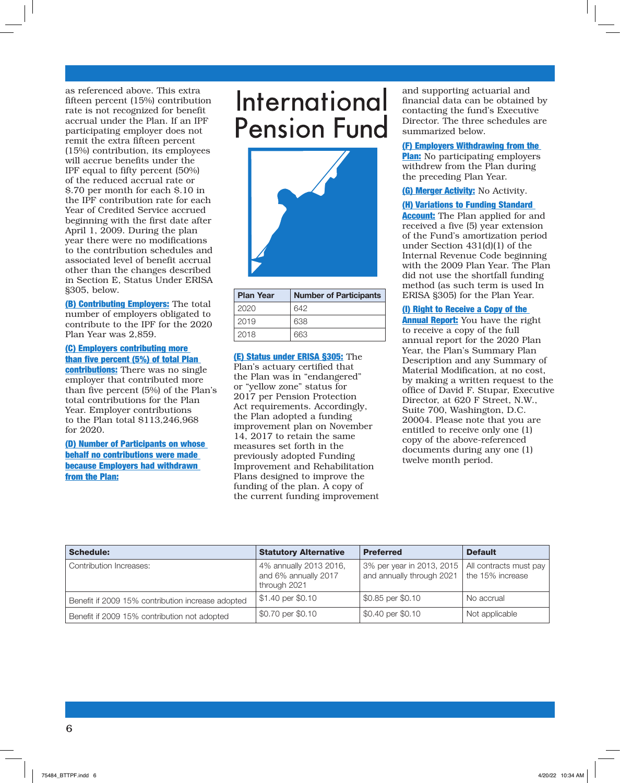as referenced above. This extra fifteen percent (15%) contribution rate is not recognized for benefit accrual under the Plan. If an IPF participating employer does not remit the extra fifteen percent (15%) contribution, its employees will accrue benefits under the IPF equal to fifty percent (50%) of the reduced accrual rate or \$.70 per month for each \$.10 in the IPF contribution rate for each Year of Credited Service accrued beginning with the first date after April 1, 2009. During the plan year there were no modifications to the contribution schedules and associated level of benefit accrual other than the changes described in Section E, Status Under ERISA §305, below.

(B) Contributing Employers: The total number of employers obligated to contribute to the IPF for the 2020 Plan Year was 2,859.

(C) Employers contributing more than five percent (5%) of total Plan

contributions: There was no single employer that contributed more than five percent (5%) of the Plan's total contributions for the Plan Year. Employer contributions to the Plan total \$113,246,968 for 2020.

(D) Number of Participants on whose behalf no contributions were made because Employers had withdrawn from the Plan:

## International **Pension Fund**



| <b>Plan Year</b> | <b>Number of Participants</b> |
|------------------|-------------------------------|
| 2020             | 642                           |
| 2019             | 638                           |
| 2018             | 663                           |

(E) Status under ERISA §305: The Plan's actuary certified that the Plan was in "endangered" or "yellow zone" status for 2017 per Pension Protection Act requirements. Accordingly, the Plan adopted a funding improvement plan on November 14, 2017 to retain the same measures set forth in the previously adopted Funding Improvement and Rehabilitation Plans designed to improve the funding of the plan. A copy of the current funding improvement and supporting actuarial and financial data can be obtained by contacting the fund's Executive Director. The three schedules are summarized below.

### (F) Employers Withdrawing from the

**Plan:** No participating employers withdrew from the Plan during the preceding Plan Year.

(G) Merger Activity: No Activity.

(H) Variations to Funding Standard **Account:** The Plan applied for and received a five (5) year extension of the Fund's amortization period under Section 431(d)(1) of the Internal Revenue Code beginning with the 2009 Plan Year. The Plan did not use the shortfall funding method (as such term is used In ERISA §305) for the Plan Year.

### (I) Right to Receive a Copy of the

**Annual Report:** You have the right to receive a copy of the full annual report for the 2020 Plan Year, the Plan's Summary Plan Description and any Summary of Material Modification, at no cost, by making a written request to the office of David F. Stupar, Executive Director, at 620 F Street, N.W., Suite 700, Washington, D.C. 20004. Please note that you are entitled to receive only one (1) copy of the above-referenced documents during any one (1) twelve month period.

| <b>Schedule:</b>                                  | <b>Statutory Alternative</b>                                   | <b>Preferred</b>                                                                                     | <b>Default</b> |
|---------------------------------------------------|----------------------------------------------------------------|------------------------------------------------------------------------------------------------------|----------------|
| Contribution Increases:                           | 4% annually 2013 2016,<br>and 6% annually 2017<br>through 2021 | 3% per year in 2013, 2015   All contracts must pay  <br>and annually through 2021   the 15% increase |                |
| Benefit if 2009 15% contribution increase adopted | $$1.40$ per \$0.10                                             | \$0.85 per \$0.10                                                                                    | No accrual     |
| Benefit if 2009 15% contribution not adopted      | $\frac{60.70}{20}$ per \$0.10                                  | \$0.40 per \$0.10                                                                                    | Not applicable |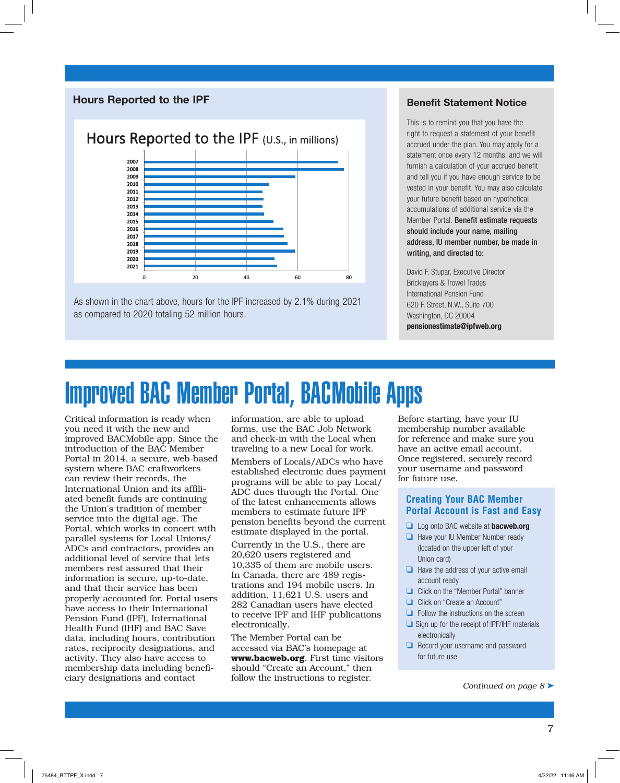### Hours Reported to the IPF



As shown in the chart above, hours for the IPF increased by 2.1% during 2021 as compared to 2020 totaling 52 million hours.

### Benefit Statement Notice

This is to remind you that you have the right to request a statement of your benefit accrued under the plan. You may apply for a statement once every 12 months, and we will furnish a calculation of your accrued benefit and tell you if you have enough service to be vested in your benefit. You may also calculate your future benefit based on hypothetical accumulations of additional service via the Member Portal. Benefit estimate requests should include your name, mailing address, IU member number, be made in writing, and directed to:

David F. Stupar, Executive Director Bricklayers & Trowel Trades International Pension Fund 620 F. Street, N.W., Suite 700 Washington, DC 20004 **pensionestimate@ipfweb.org**

# Improved BAC Member Portal, BACMobile Apps

Critical information is ready when you need it with the new and improved BACMobile app. Since the introduction of the BAC Member Portal in 2014, a secure, web-based system where BAC craftworkers can review their records, the International Union and its affiliated benefit funds are continuing the Union's tradition of member service into the digital age. The Portal, which works in concert with parallel systems for Local Unions/ ADCs and contractors, provides an additional level of service that lets members rest assured that their information is secure, up-to-date, and that their service has been properly accounted for. Portal users have access to their International Pension Fund (IPF), International Health Fund (IHF) and BAC Save data, including hours, contribution rates, reciprocity designations, and activity. They also have access to membership data including beneficiary designations and contact

information, are able to upload forms, use the BAC Job Network and check-in with the Local when traveling to a new Local for work.

Members of Locals/ADCs who have established electronic dues payment programs will be able to pay Local/ ADC dues through the Portal. One of the latest enhancements allows members to estimate future IPF pension benefits beyond the current estimate displayed in the portal.

Currently in the U.S., there are 20,620 users registered and 10,335 of them are mobile users. In Canada, there are 489 registrations and 194 mobile users. In addition, 11,621 U.S. users and 282 Canadian users have elected to receive IPF and IHF publications electronically.

The Member Portal can be accessed via BAC's homepage at **www.bacweb.org**. First time visitors should "Create an Account," then follow the instructions to register.

Before starting, have your IU membership number available for reference and make sure you have an active email account. Once registered, securely record your username and password for future use.

### **Creating Your BAC Member Portal Account is Fast and Easy**

- **d** Log onto BAC website at **bacweb.org**
- $\Box$  Have your IU Member Number ready (located on the upper left of your Union card)
- $\Box$  Have the address of your active email account ready
- $\Box$  Click on the "Member Portal" banner
- $\Box$  Click on "Create an Account"
- $\Box$  Follow the instructions on the screen
- $\Box$  Sign up for the receipt of IPF/IHF materials electronically
- $\Box$  Record your username and password for future use